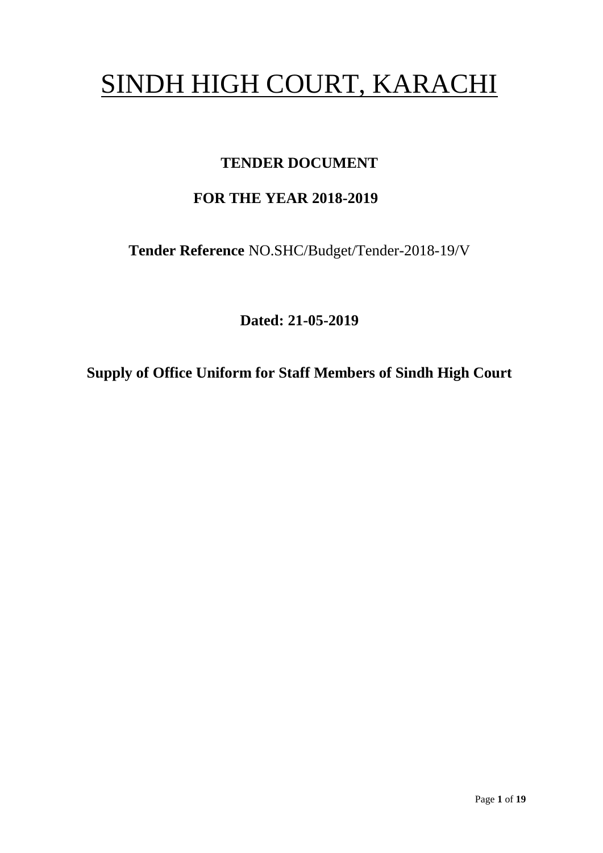# SINDH HIGH COURT, KARACHI

# **TENDER DOCUMENT**

# **FOR THE YEAR 2018-2019**

**Tender Reference** NO.SHC/Budget/Tender-2018-19/V

**Dated: 21-05-2019**

**Supply of Office Uniform for Staff Members of Sindh High Court**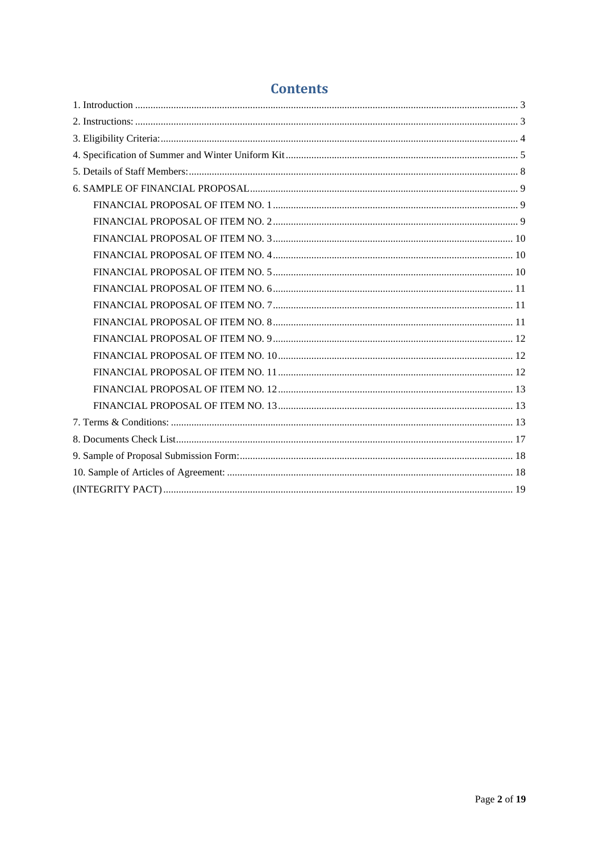# **Contents**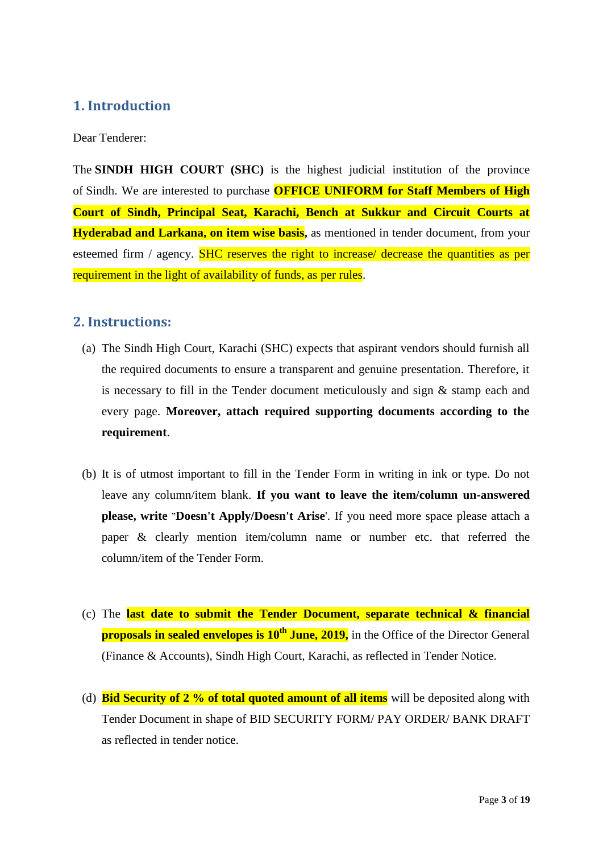# <span id="page-2-0"></span>**1. Introduction**

Dear Tenderer:

The **SINDH HIGH COURT (SHC)** is the highest judicial institution of the province of [Sindh.](https://en.wikipedia.org/wiki/Sindh) We are interested to purchase **OFFICE UNIFORM for Staff Members of High Court of Sindh, Principal Seat, Karachi, Bench at Sukkur and Circuit Courts at Hyderabad and Larkana, on item wise basis,** as mentioned in tender document, from your esteemed firm / agency. SHC reserves the right to increase/ decrease the quantities as per requirement in the light of availability of funds, as per rules.

### <span id="page-2-1"></span>**2. Instructions:**

- (a) The Sindh High Court, Karachi (SHC) expects that aspirant vendors should furnish all the required documents to ensure a transparent and genuine presentation. Therefore, it is necessary to fill in the Tender document meticulously and sign & stamp each and every page. **Moreover, attach required supporting documents according to the requirement**.
- (b) It is of utmost important to fill in the Tender Form in writing in ink or type. Do not leave any column/item blank. **If you want to leave the item/column un-answered please, write "Doesn't Apply/Doesn't Arise**'. If you need more space please attach a paper & clearly mention item/column name or number etc. that referred the column/item of the Tender Form.
- (c) The **last date to submit the Tender Document, separate technical & financial proposals in sealed envelopes is 10<sup>th</sup> June, 2019,** in the Office of the Director General (Finance & Accounts), Sindh High Court, Karachi, as reflected in Tender Notice.
- (d) **Bid Security of 2 % of total quoted amount of all items** will be deposited along with Tender Document in shape of BID SECURITY FORM/ PAY ORDER/ BANK DRAFT as reflected in tender notice.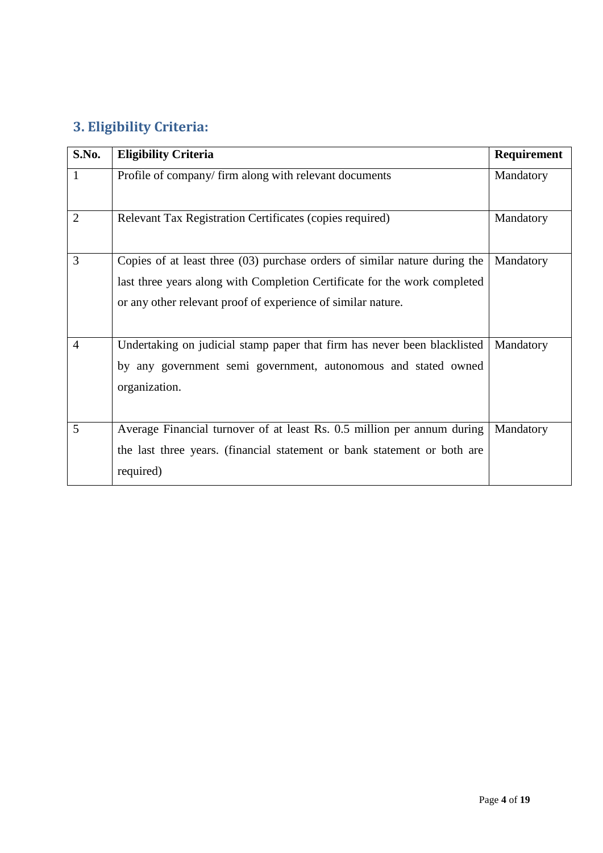# <span id="page-3-0"></span>**3. Eligibility Criteria:**

| S.No.          | <b>Eligibility Criteria</b>                                                                                                                                                                                             | Requirement |
|----------------|-------------------------------------------------------------------------------------------------------------------------------------------------------------------------------------------------------------------------|-------------|
| 1              | Profile of company/ firm along with relevant documents                                                                                                                                                                  | Mandatory   |
| $\overline{2}$ | Relevant Tax Registration Certificates (copies required)                                                                                                                                                                | Mandatory   |
| 3              | Copies of at least three (03) purchase orders of similar nature during the<br>last three years along with Completion Certificate for the work completed<br>or any other relevant proof of experience of similar nature. | Mandatory   |
| $\overline{4}$ | Undertaking on judicial stamp paper that firm has never been blacklisted<br>by any government semi government, autonomous and stated owned<br>organization.                                                             | Mandatory   |
| 5              | Average Financial turnover of at least Rs. 0.5 million per annum during<br>the last three years. (financial statement or bank statement or both are<br>required)                                                        | Mandatory   |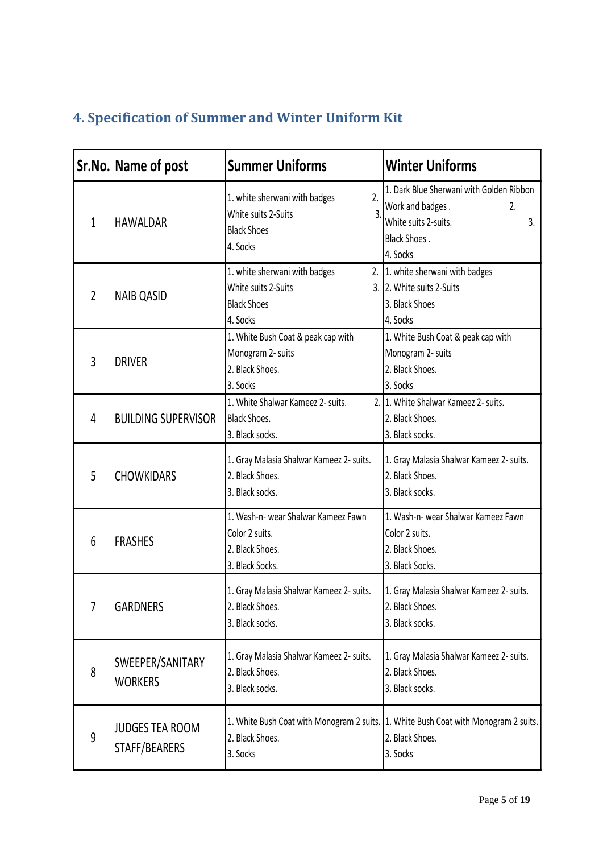# <span id="page-4-0"></span>**4. Specification of Summer and Winter Uniform Kit**

|                | Sr.No. Name of post                     | <b>Summer Uniforms</b>                                                                                         | <b>Winter Uniforms</b>                                                                                                       |
|----------------|-----------------------------------------|----------------------------------------------------------------------------------------------------------------|------------------------------------------------------------------------------------------------------------------------------|
| $\mathbf{1}$   | <b>HAWALDAR</b>                         | 1. white sherwani with badges<br>2.<br>$\overline{3}$<br>White suits 2-Suits<br><b>Black Shoes</b><br>4. Socks | 1. Dark Blue Sherwani with Golden Ribbon<br>Work and badges.<br>2.<br>White suits 2-suits.<br>3.<br>Black Shoes.<br>4. Socks |
| $\overline{2}$ | <b>NAIB QASID</b>                       | 1. white sherwani with badges<br>2.<br>White suits 2-Suits<br><b>Black Shoes</b><br>4. Socks                   | 1. white sherwani with badges<br>3. 2. White suits 2-Suits<br>3. Black Shoes<br>4. Socks                                     |
| $\overline{3}$ | <b>DRIVER</b>                           | 1. White Bush Coat & peak cap with<br>Monogram 2- suits<br>2. Black Shoes.<br>3. Socks                         | 1. White Bush Coat & peak cap with<br>Monogram 2- suits<br>2. Black Shoes.<br>3. Socks                                       |
| 4              | <b>BUILDING SUPERVISOR</b>              | 1. White Shalwar Kameez 2- suits.<br><b>Black Shoes.</b><br>3. Black socks.                                    | 2. 1. White Shalwar Kameez 2- suits.<br>2. Black Shoes.<br>3. Black socks.                                                   |
| 5              | <b>CHOWKIDARS</b>                       | 1. Gray Malasia Shalwar Kameez 2- suits.<br>2. Black Shoes.<br>3. Black socks.                                 | 1. Gray Malasia Shalwar Kameez 2- suits.<br>2. Black Shoes.<br>3. Black socks.                                               |
| 6              | <b>FRASHES</b>                          | 1. Wash-n- wear Shalwar Kameez Fawn<br>Color 2 suits.<br>2. Black Shoes.<br>3. Black Socks.                    | 1. Wash-n- wear Shalwar Kameez Fawn<br>Color 2 suits.<br>2. Black Shoes.<br>3. Black Socks.                                  |
| 7              | <b>GARDNERS</b>                         | 1. Gray Malasia Shalwar Kameez 2- suits.<br>2. Black Shoes.<br>3. Black socks.                                 | 1. Gray Malasia Shalwar Kameez 2- suits.<br>2. Black Shoes.<br>3. Black socks.                                               |
| 8              | SWEEPER/SANITARY<br><b>WORKERS</b>      | 1. Gray Malasia Shalwar Kameez 2- suits.<br>2. Black Shoes.<br>3. Black socks.                                 | 1. Gray Malasia Shalwar Kameez 2- suits.<br>2. Black Shoes.<br>3. Black socks.                                               |
| 9              | <b>JUDGES TEA ROOM</b><br>STAFF/BEARERS | 2. Black Shoes.<br>3. Socks                                                                                    | 1. White Bush Coat with Monogram 2 suits. 1. White Bush Coat with Monogram 2 suits.<br>2. Black Shoes.<br>3. Socks           |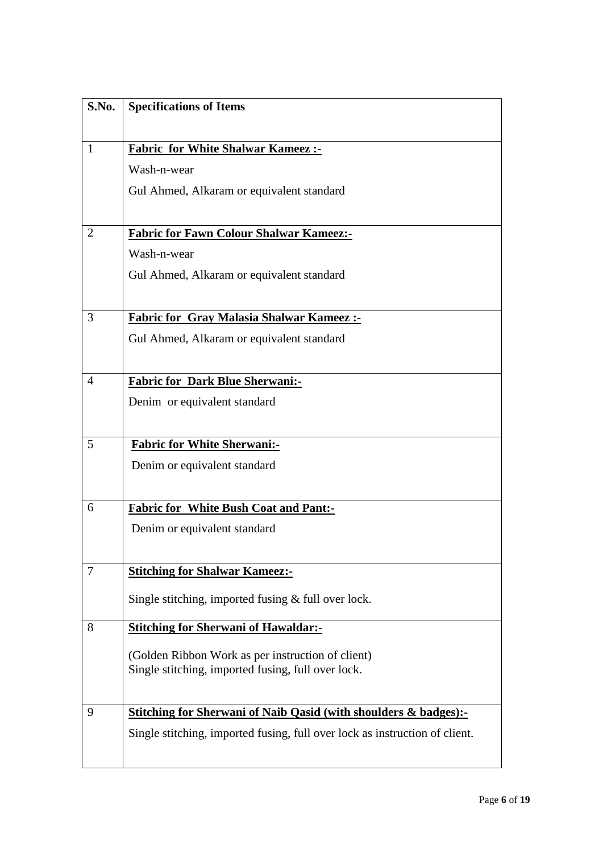| S.No.          | <b>Specifications of Items</b>                                              |
|----------------|-----------------------------------------------------------------------------|
| $\mathbf{1}$   | <b>Fabric for White Shalwar Kameez:-</b>                                    |
|                | Wash-n-wear                                                                 |
|                | Gul Ahmed, Alkaram or equivalent standard                                   |
|                |                                                                             |
| $\overline{2}$ | <b>Fabric for Fawn Colour Shalwar Kameez:-</b>                              |
|                | Wash-n-wear                                                                 |
|                | Gul Ahmed, Alkaram or equivalent standard                                   |
| 3              | <b>Fabric for Gray Malasia Shalwar Kameez:-</b>                             |
|                | Gul Ahmed, Alkaram or equivalent standard                                   |
|                |                                                                             |
| 4              | <b>Fabric for Dark Blue Sherwani:-</b>                                      |
|                | Denim or equivalent standard                                                |
|                |                                                                             |
| 5              | <b>Fabric for White Sherwani:-</b>                                          |
|                | Denim or equivalent standard                                                |
| 6              | <b>Fabric for White Bush Coat and Pant:-</b>                                |
|                | Denim or equivalent standard                                                |
|                |                                                                             |
| 7              | <b>Stitching for Shalwar Kameez:-</b>                                       |
|                | Single stitching, imported fusing $&$ full over lock.                       |
| 8              | <b>Stitching for Sherwani of Hawaldar:-</b>                                 |
|                | (Golden Ribbon Work as per instruction of client)                           |
|                | Single stitching, imported fusing, full over lock.                          |
|                |                                                                             |
| 9              | <b>Stitching for Sherwani of Naib Qasid (with shoulders &amp; badges):-</b> |
|                | Single stitching, imported fusing, full over lock as instruction of client. |
|                |                                                                             |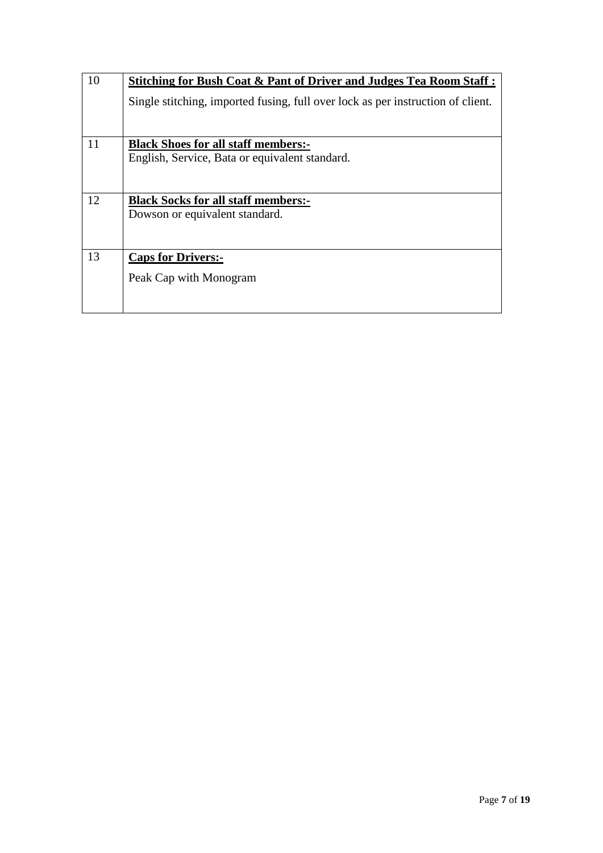| 10 | Stitching for Bush Coat & Pant of Driver and Judges Tea Room Staff:             |  |  |  |
|----|---------------------------------------------------------------------------------|--|--|--|
|    | Single stitching, imported fusing, full over lock as per instruction of client. |  |  |  |
|    |                                                                                 |  |  |  |
| 11 | <b>Black Shoes for all staff members:-</b>                                      |  |  |  |
|    | English, Service, Bata or equivalent standard.                                  |  |  |  |
| 12 | <b>Black Socks for all staff members:-</b>                                      |  |  |  |
|    | Dowson or equivalent standard.                                                  |  |  |  |
| 13 | <b>Caps for Drivers:-</b>                                                       |  |  |  |
|    | Peak Cap with Monogram                                                          |  |  |  |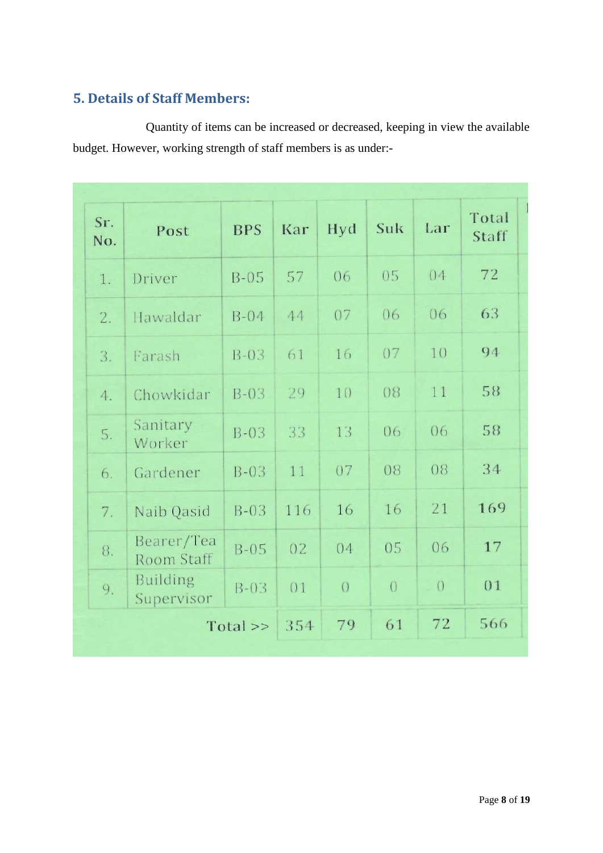# <span id="page-7-0"></span>**5. Details of Staff Members:**

Quantity of items can be increased or decreased, keeping in view the available budget. However, working strength of staff members is as under:-

| Sr.<br>No. | Post                          | <b>BPS</b> | Kar | Hyd        | Suk            | Lar      | Total<br>Staff |
|------------|-------------------------------|------------|-----|------------|----------------|----------|----------------|
| 1.         | Driver                        | $B-05$     | 57  | 06         | 05             | 04       | 72             |
| 2.         | Hawaldar                      | $B-04$     | 44  | 07         | 06             | 06       | 63             |
| 3.         | Farash                        | $B-03$     | 61  | 16         | 07             | 10       | 94             |
| 4.         | Chowkidar                     | $B-03$     | 29  | 10         | 08             | 11       | 58             |
| 5.         | Sanitary<br>Worker            | $B-03$     | 33  | 13         | 06             | 06       | 58             |
| 6.         | Gardener                      | $B-03$     | 11  | 07         | 08             | 08       | 34             |
| 7.         | Naib Qasid                    | $B-03$     | 116 | 16         | 16             | 21       | 169            |
| 8.         | Bearer/Tea<br>Room Staff      | $B-05$     | 02  | 04         | 05             | 06       | 17             |
| 9.         | <b>Building</b><br>Supervisor | $B-03$     | 01  | $\bigcirc$ | $\overline{O}$ | $\theta$ | 01             |
|            |                               | Total >>   | 354 | 79         | 61             | 72       | 566            |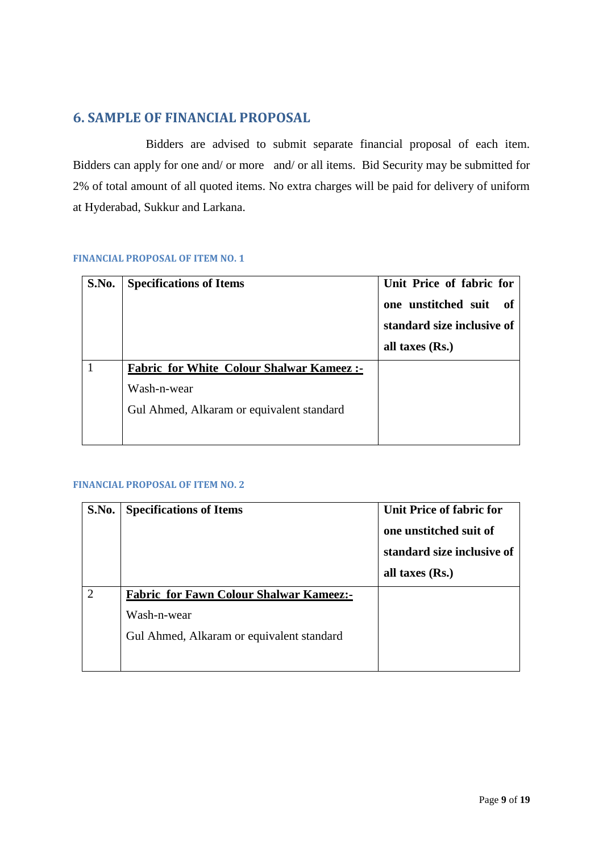# <span id="page-8-0"></span>**6. SAMPLE OF FINANCIAL PROPOSAL**

Bidders are advised to submit separate financial proposal of each item. Bidders can apply for one and/ or more and/ or all items. Bid Security may be submitted for 2% of total amount of all quoted items. No extra charges will be paid for delivery of uniform at Hyderabad, Sukkur and Larkana.

#### <span id="page-8-1"></span>**FINANCIAL PROPOSAL OF ITEM NO. 1**

| S.No. | <b>Specifications of Items</b>                  | Unit Price of fabric for<br>one unstitched suit<br>of<br>standard size inclusive of<br>all taxes $(Rs.)$ |
|-------|-------------------------------------------------|----------------------------------------------------------------------------------------------------------|
|       | <b>Fabric for White Colour Shalwar Kameez:-</b> |                                                                                                          |
|       | Wash-n-wear                                     |                                                                                                          |
|       | Gul Ahmed, Alkaram or equivalent standard       |                                                                                                          |
|       |                                                 |                                                                                                          |

<span id="page-8-2"></span>

| S.No. | <b>Specifications of Items</b>                 | <b>Unit Price of fabric for</b><br>one unstitched suit of<br>standard size inclusive of |
|-------|------------------------------------------------|-----------------------------------------------------------------------------------------|
|       |                                                | all taxes (Rs.)                                                                         |
| ∍     | <b>Fabric for Fawn Colour Shalwar Kameez:-</b> |                                                                                         |
|       | Wash-n-wear                                    |                                                                                         |
|       | Gul Ahmed, Alkaram or equivalent standard      |                                                                                         |
|       |                                                |                                                                                         |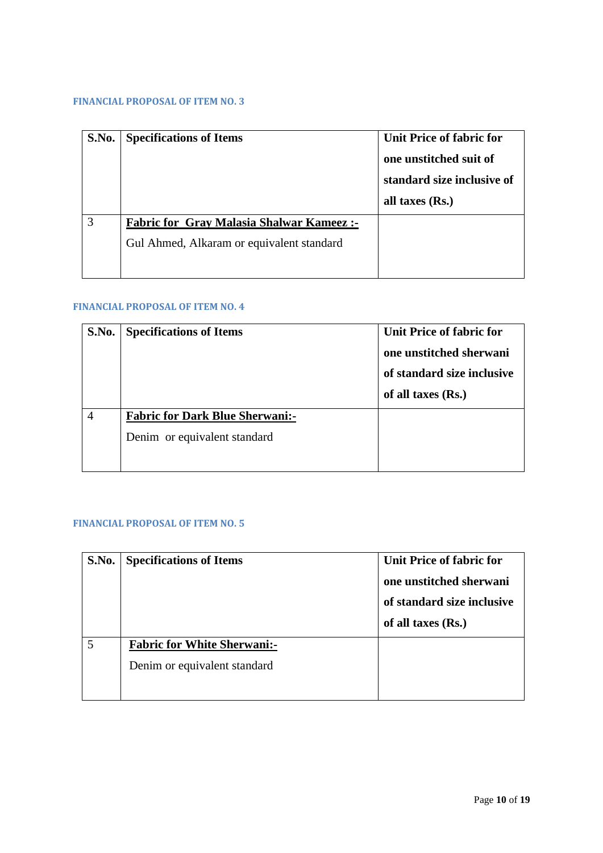<span id="page-9-0"></span>

| S.No. | <b>Specifications of Items</b>                  | Unit Price of fabric for<br>one unstitched suit of<br>standard size inclusive of<br>all taxes (Rs.) |
|-------|-------------------------------------------------|-----------------------------------------------------------------------------------------------------|
|       | <b>Fabric for Gray Malasia Shalwar Kameez:-</b> |                                                                                                     |
|       | Gul Ahmed, Alkaram or equivalent standard       |                                                                                                     |
|       |                                                 |                                                                                                     |

#### <span id="page-9-1"></span>**FINANCIAL PROPOSAL OF ITEM NO. 4**

| S.No. | <b>Specifications of Items</b>         | Unit Price of fabric for<br>one unstitched sherwani<br>of standard size inclusive<br>of all taxes $(Rs.)$ |
|-------|----------------------------------------|-----------------------------------------------------------------------------------------------------------|
|       | <b>Fabric for Dark Blue Sherwani:-</b> |                                                                                                           |
|       | Denim or equivalent standard           |                                                                                                           |
|       |                                        |                                                                                                           |

<span id="page-9-2"></span>

| S.No. | <b>Specifications of Items</b>                                     | Unit Price of fabric for<br>one unstitched sherwani<br>of standard size inclusive<br>of all taxes (Rs.) |
|-------|--------------------------------------------------------------------|---------------------------------------------------------------------------------------------------------|
| 5     | <b>Fabric for White Sherwani:-</b><br>Denim or equivalent standard |                                                                                                         |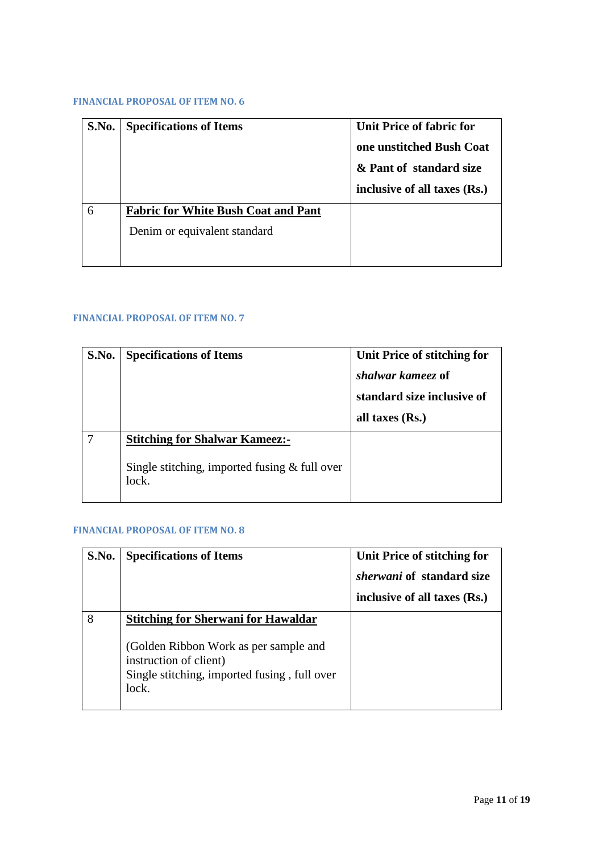<span id="page-10-0"></span>

| S.No. | <b>Specifications of Items</b>             | Unit Price of fabric for<br>one unstitched Bush Coat<br>& Pant of standard size<br>inclusive of all taxes (Rs.) |
|-------|--------------------------------------------|-----------------------------------------------------------------------------------------------------------------|
| 6     | <b>Fabric for White Bush Coat and Pant</b> |                                                                                                                 |
|       | Denim or equivalent standard               |                                                                                                                 |
|       |                                            |                                                                                                                 |

#### <span id="page-10-1"></span>**FINANCIAL PROPOSAL OF ITEM NO. 7**

| S.No. | <b>Specifications of Items</b>                                                                    | Unit Price of stitching for<br>shalwar kameez of<br>standard size inclusive of<br>all taxes (Rs.) |
|-------|---------------------------------------------------------------------------------------------------|---------------------------------------------------------------------------------------------------|
|       | <b>Stitching for Shalwar Kameez:-</b><br>Single stitching, imported fusing $&$ full over<br>lock. |                                                                                                   |

<span id="page-10-2"></span>

| S.No. | <b>Specifications of Items</b>                                                                                                                                         | Unit Price of stitching for<br><i>sherwani</i> of standard size<br>inclusive of all taxes (Rs.) |
|-------|------------------------------------------------------------------------------------------------------------------------------------------------------------------------|-------------------------------------------------------------------------------------------------|
| 8     | <b>Stitching for Sherwani for Hawaldar</b><br>(Golden Ribbon Work as per sample and<br>instruction of client)<br>Single stitching, imported fusing, full over<br>lock. |                                                                                                 |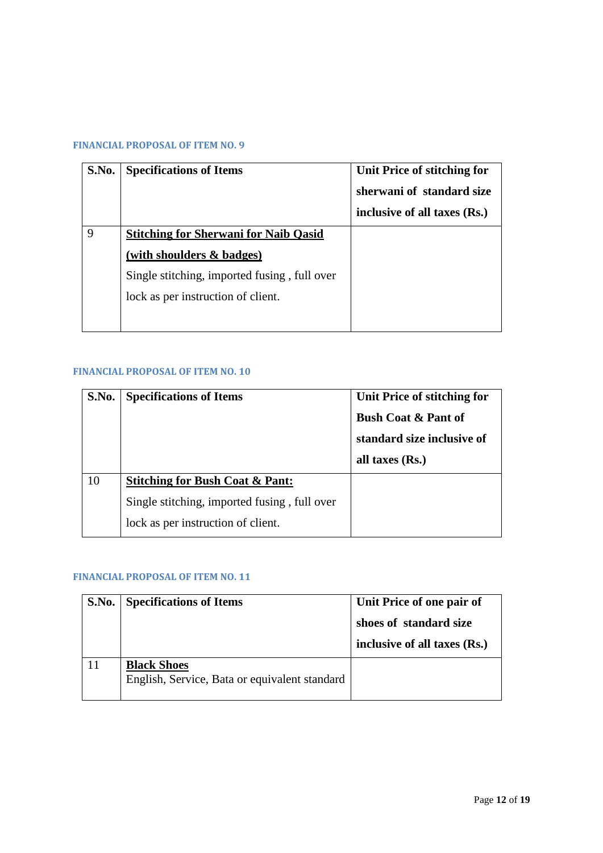<span id="page-11-0"></span>

| S.No. | <b>Specifications of Items</b>               | Unit Price of stitching for<br>sherwani of standard size<br>inclusive of all taxes (Rs.) |
|-------|----------------------------------------------|------------------------------------------------------------------------------------------|
| 9     | <b>Stitching for Sherwani for Naib Qasid</b> |                                                                                          |
|       | (with shoulders $\&$ badges)                 |                                                                                          |
|       | Single stitching, imported fusing, full over |                                                                                          |
|       | lock as per instruction of client.           |                                                                                          |
|       |                                              |                                                                                          |

#### <span id="page-11-1"></span>**FINANCIAL PROPOSAL OF ITEM NO. 10**

| S.No. | <b>Specifications of Items</b>               | Unit Price of stitching for<br><b>Bush Coat &amp; Pant of</b><br>standard size inclusive of<br>all taxes $(Rs.)$ |
|-------|----------------------------------------------|------------------------------------------------------------------------------------------------------------------|
| 10    | <b>Stitching for Bush Coat &amp; Pant:</b>   |                                                                                                                  |
|       | Single stitching, imported fusing, full over |                                                                                                                  |
|       | lock as per instruction of client.           |                                                                                                                  |

<span id="page-11-2"></span>

| S.No. | <b>Specifications of Items</b>                                      | Unit Price of one pair of                              |
|-------|---------------------------------------------------------------------|--------------------------------------------------------|
|       |                                                                     | shoes of standard size<br>inclusive of all taxes (Rs.) |
|       | <b>Black Shoes</b><br>English, Service, Bata or equivalent standard |                                                        |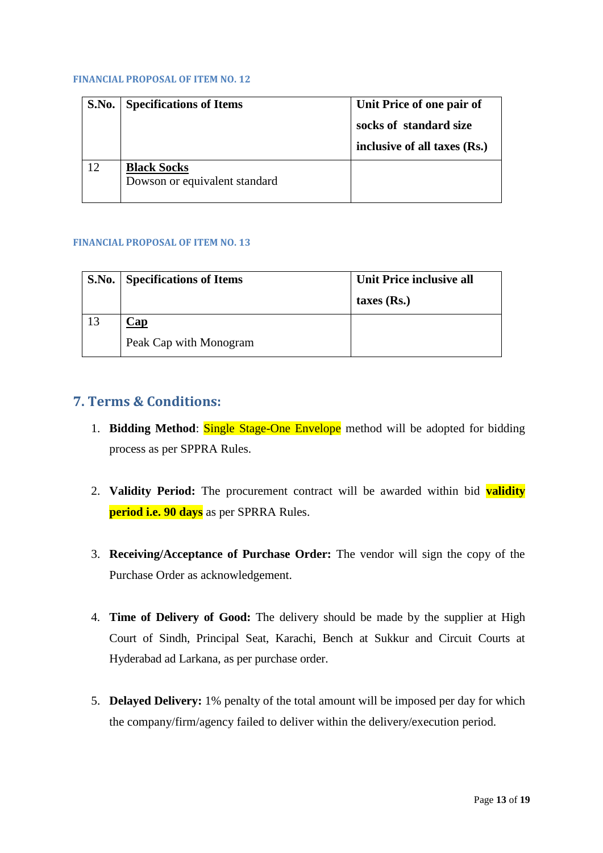<span id="page-12-0"></span>

| S.No. | <b>Specifications of Items</b>                      | Unit Price of one pair of<br>socks of standard size<br>inclusive of all taxes (Rs.) |
|-------|-----------------------------------------------------|-------------------------------------------------------------------------------------|
| 12    | <b>Black Socks</b><br>Dowson or equivalent standard |                                                                                     |

#### <span id="page-12-1"></span>**FINANCIAL PROPOSAL OF ITEM NO. 13**

|    | <b>S.No.</b> Specifications of Items | Unit Price inclusive all<br>taxes $(Rs.)$ |
|----|--------------------------------------|-------------------------------------------|
| 13 | $\mathbb{C}$ ap                      |                                           |
|    | Peak Cap with Monogram               |                                           |

### <span id="page-12-2"></span>**7. Terms & Conditions:**

- 1. **Bidding Method**: Single Stage-One Envelope method will be adopted for bidding process as per SPPRA Rules.
- 2. **Validity Period:** The procurement contract will be awarded within bid **validity period i.e. 90 days** as per SPRRA Rules.
- 3. **Receiving/Acceptance of Purchase Order:** The vendor will sign the copy of the Purchase Order as acknowledgement.
- 4. **Time of Delivery of Good:** The delivery should be made by the supplier at High Court of Sindh, Principal Seat, Karachi, Bench at Sukkur and Circuit Courts at Hyderabad ad Larkana, as per purchase order.
- 5. **Delayed Delivery:** 1% penalty of the total amount will be imposed per day for which the company/firm/agency failed to deliver within the delivery/execution period.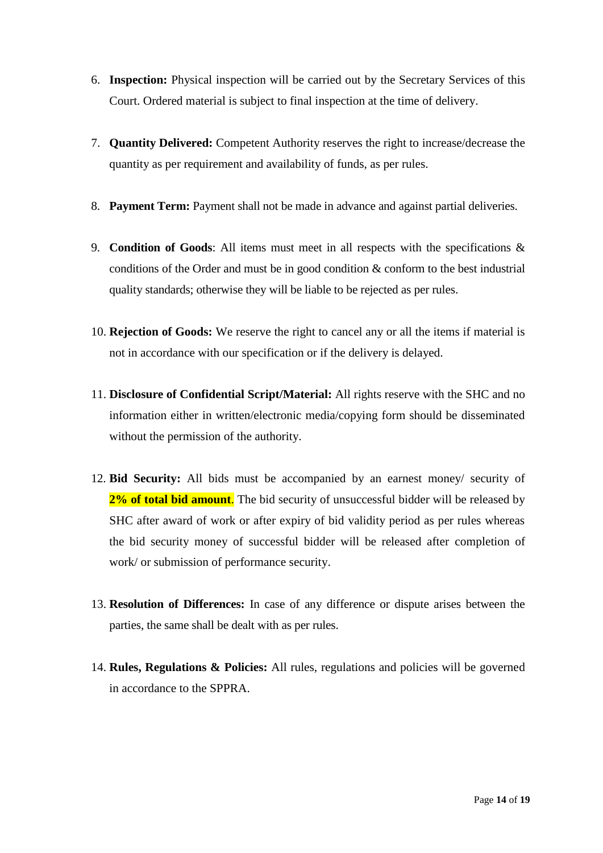- 6. **Inspection:** Physical inspection will be carried out by the Secretary Services of this Court. Ordered material is subject to final inspection at the time of delivery.
- 7. **Quantity Delivered:** Competent Authority reserves the right to increase/decrease the quantity as per requirement and availability of funds, as per rules.
- 8. **Payment Term:** Payment shall not be made in advance and against partial deliveries.
- 9. **Condition of Goods**: All items must meet in all respects with the specifications & conditions of the Order and must be in good condition & conform to the best industrial quality standards; otherwise they will be liable to be rejected as per rules.
- 10. **Rejection of Goods:** We reserve the right to cancel any or all the items if material is not in accordance with our specification or if the delivery is delayed.
- 11. **Disclosure of Confidential Script/Material:** All rights reserve with the SHC and no information either in written/electronic media/copying form should be disseminated without the permission of the authority.
- 12. **Bid Security:** All bids must be accompanied by an earnest money/ security of 2% of total bid amount. The bid security of unsuccessful bidder will be released by SHC after award of work or after expiry of bid validity period as per rules whereas the bid security money of successful bidder will be released after completion of work/ or submission of performance security.
- 13. **Resolution of Differences:** In case of any difference or dispute arises between the parties, the same shall be dealt with as per rules.
- 14. **Rules, Regulations & Policies:** All rules, regulations and policies will be governed in accordance to the SPPRA.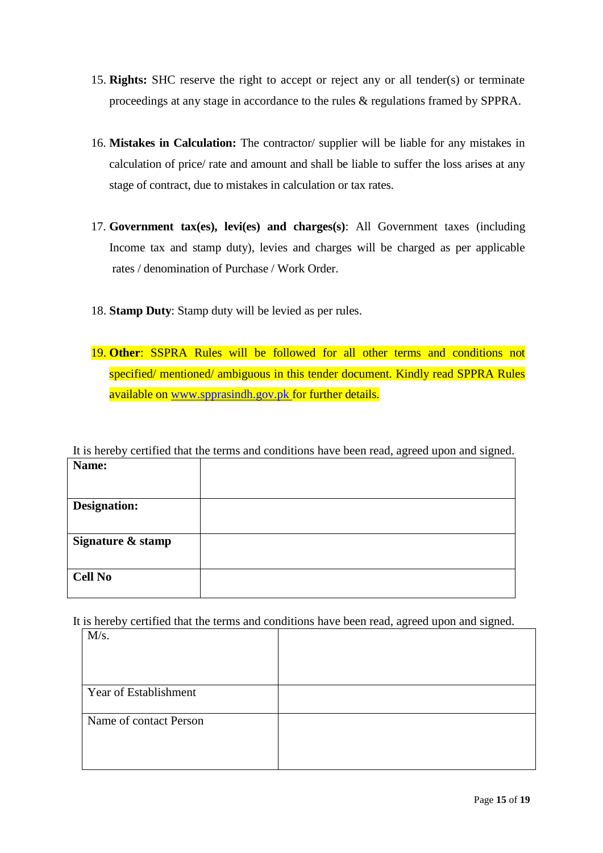- 15. **Rights:** SHC reserve the right to accept or reject any or all tender(s) or terminate proceedings at any stage in accordance to the rules & regulations framed by SPPRA.
- 16. **Mistakes in Calculation:** The contractor/ supplier will be liable for any mistakes in calculation of price/ rate and amount and shall be liable to suffer the loss arises at any stage of contract, due to mistakes in calculation or tax rates.
- 17. **Government tax(es), levi(es) and charges(s)**: All Government taxes (including Income tax and stamp duty), levies and charges will be charged as per applicable rates / denomination of Purchase / Work Order.
- 18. **Stamp Duty**: Stamp duty will be levied as per rules.
- 19. **Other**: SSPRA Rules will be followed for all other terms and conditions not specified/ mentioned/ ambiguous in this tender document. Kindly read SPPRA Rules available on [www.spprasindh.gov.pk](http://www.spprasindh.gov.pk/) for further details.

It is hereby certified that the terms and conditions have been read, agreed upon and signed.

| Name:               |  |
|---------------------|--|
|                     |  |
|                     |  |
|                     |  |
| <b>Designation:</b> |  |
|                     |  |
|                     |  |
| Signature & stamp   |  |
|                     |  |
|                     |  |
| <b>Cell No</b>      |  |
|                     |  |

It is hereby certified that the terms and conditions have been read, agreed upon and signed.

|                        | J | л. | ັ |
|------------------------|---|----|---|
| M/s.                   |   |    |   |
|                        |   |    |   |
|                        |   |    |   |
| Year of Establishment  |   |    |   |
| Name of contact Person |   |    |   |
|                        |   |    |   |
|                        |   |    |   |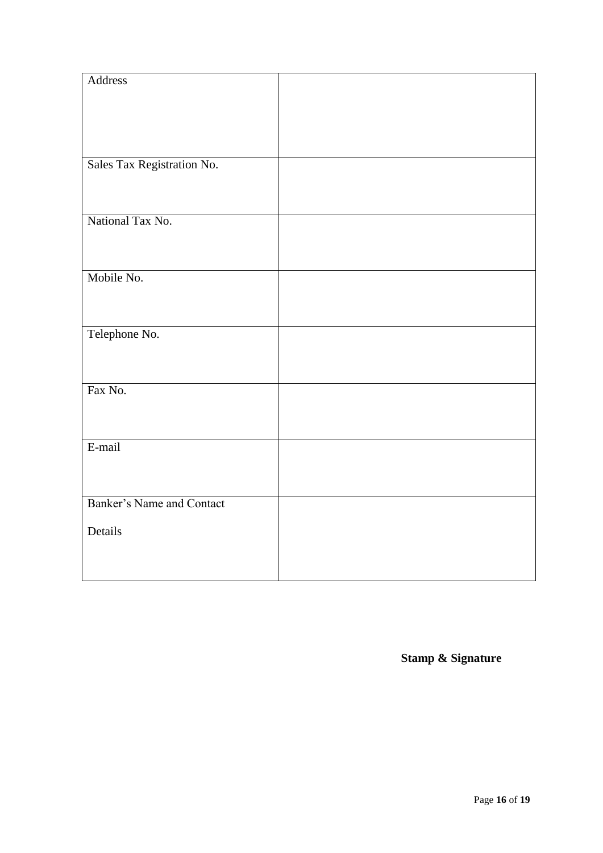| Address                    |  |
|----------------------------|--|
|                            |  |
|                            |  |
|                            |  |
|                            |  |
| Sales Tax Registration No. |  |
|                            |  |
|                            |  |
|                            |  |
| National Tax No.           |  |
|                            |  |
|                            |  |
| Mobile No.                 |  |
|                            |  |
|                            |  |
| Telephone No.              |  |
|                            |  |
|                            |  |
|                            |  |
| Fax No.                    |  |
|                            |  |
|                            |  |
| E-mail                     |  |
|                            |  |
|                            |  |
| Banker's Name and Contact  |  |
|                            |  |
| Details                    |  |
|                            |  |
|                            |  |
|                            |  |

**Stamp & Signature**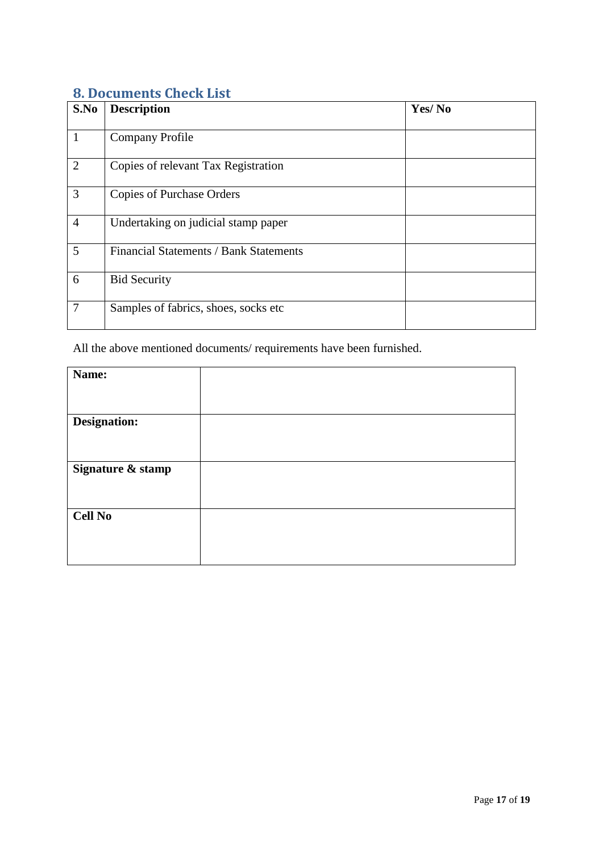# <span id="page-16-0"></span>**8. Documents Check List**

| S.No           | <b>Description</b>                     | Yes/No |
|----------------|----------------------------------------|--------|
| $\mathbf{1}$   | <b>Company Profile</b>                 |        |
| 2              | Copies of relevant Tax Registration    |        |
| 3              | <b>Copies of Purchase Orders</b>       |        |
| $\overline{4}$ | Undertaking on judicial stamp paper    |        |
| 5              | Financial Statements / Bank Statements |        |
| 6              | <b>Bid Security</b>                    |        |
| $\overline{7}$ | Samples of fabrics, shoes, socks etc   |        |

All the above mentioned documents/ requirements have been furnished.

| Name:               |  |
|---------------------|--|
|                     |  |
|                     |  |
| <b>Designation:</b> |  |
|                     |  |
|                     |  |
|                     |  |
| Signature & stamp   |  |
|                     |  |
|                     |  |
|                     |  |
| <b>Cell No</b>      |  |
|                     |  |
|                     |  |
|                     |  |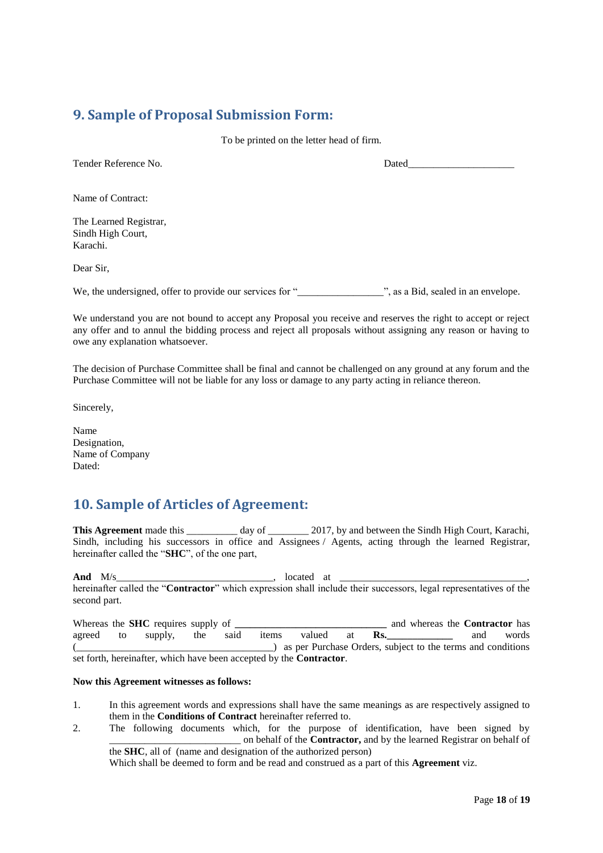# <span id="page-17-0"></span>**9. Sample of Proposal Submission Form:**

To be printed on the letter head of firm.

Tender Reference No. 2008 and the Dated

Name of Contract:

The Learned Registrar, Sindh High Court, Karachi.

Dear Sir,

We, the undersigned, offer to provide our services for "\_\_\_\_\_\_\_\_\_\_\_\_\_\_\_\_\_", as a Bid, sealed in an envelope.

We understand you are not bound to accept any Proposal you receive and reserves the right to accept or reject any offer and to annul the bidding process and reject all proposals without assigning any reason or having to owe any explanation whatsoever.

The decision of Purchase Committee shall be final and cannot be challenged on any ground at any forum and the Purchase Committee will not be liable for any loss or damage to any party acting in reliance thereon.

Sincerely,

Name Designation, Name of Company Dated:

# <span id="page-17-1"></span>**10. Sample of Articles of Agreement:**

**This Agreement** made this day of 2017, by and between the Sindh High Court, Karachi, Sindh, including his successors in office and Assignees / Agents, acting through the learned Registrar, hereinafter called the "**SHC**", of the one part,

**And** M/s 100 and M/s 200 and M/s 200 and  $\frac{M}{s}$  at  $\frac{M}{s}$ hereinafter called the "**Contractor**" which expression shall include their successors, legal representatives of the second part.

Whereas the **SHC** requires supply of **\_\_\_\_\_\_\_\_\_\_\_\_\_\_\_\_\_\_\_\_\_\_\_\_\_\_\_\_\_\_\_\_** and whereas the **Contractor** has agreed to supply, the said items valued at **Rs.\_\_\_\_\_\_\_\_\_\_\_\_\_** and words (\_\_\_\_\_\_\_\_\_\_\_\_\_\_\_\_\_\_\_\_\_\_\_\_\_\_\_\_\_\_\_\_\_\_\_\_\_\_\_) as per Purchase Orders, subject to the terms and conditions set forth, hereinafter, which have been accepted by the **Contractor**.

#### **Now this Agreement witnesses as follows:**

- 1. In this agreement words and expressions shall have the same meanings as are respectively assigned to them in the **Conditions of Contract** hereinafter referred to.
- 2. The following documents which, for the purpose of identification, have been signed by \_\_\_\_\_\_\_\_\_\_\_\_\_\_\_\_\_\_\_\_\_\_\_\_\_\_ on behalf of the **Contractor,** and by the learned Registrar on behalf of the **SHC**, all of (name and designation of the authorized person)

Which shall be deemed to form and be read and construed as a part of this **Agreement** viz.